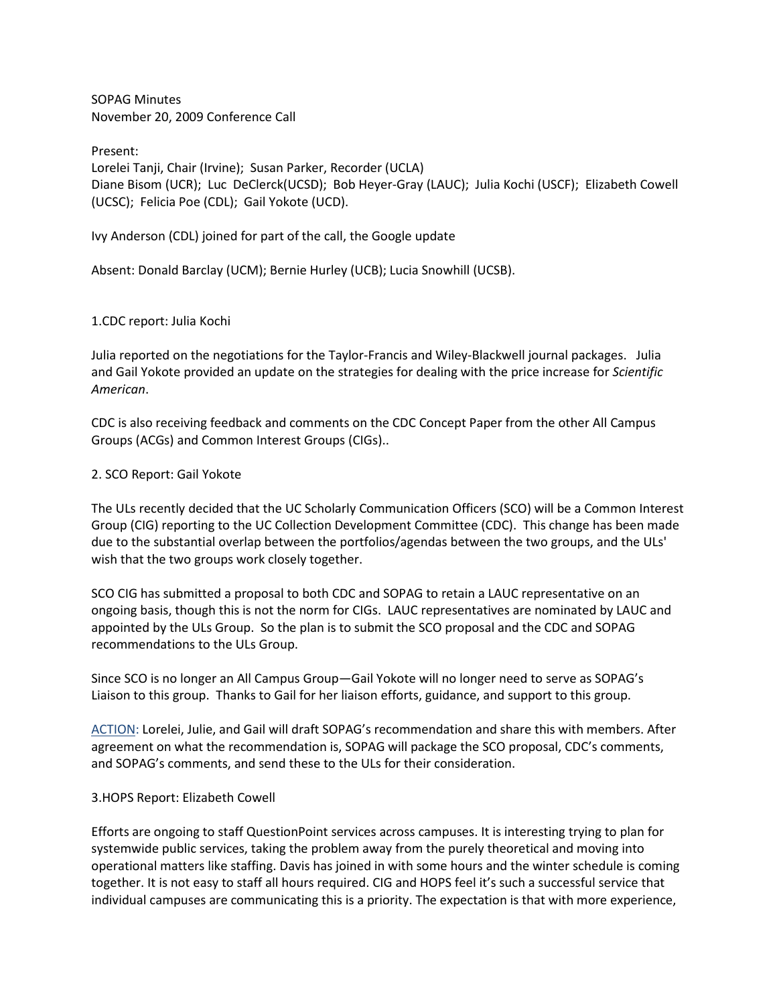SOPAG Minutes November 20, 2009 Conference Call

Present: Lorelei Tanji, Chair (Irvine); Susan Parker, Recorder (UCLA) Diane Bisom (UCR); Luc DeClerck(UCSD); Bob Heyer-Gray (LAUC); Julia Kochi (USCF); Elizabeth Cowell (UCSC); Felicia Poe (CDL); Gail Yokote (UCD).

Ivy Anderson (CDL) joined for part of the call, the Google update

Absent: Donald Barclay (UCM); Bernie Hurley (UCB); Lucia Snowhill (UCSB).

## 1.CDC report: Julia Kochi

Julia reported on the negotiations for the Taylor-Francis and Wiley-Blackwell journal packages. Julia and Gail Yokote provided an update on the strategies for dealing with the price increase for *Scientific American*.

CDC is also receiving feedback and comments on the CDC Concept Paper from the other All Campus Groups (ACGs) and Common Interest Groups (CIGs)..

#### 2. SCO Report: Gail Yokote

The ULs recently decided that the UC Scholarly Communication Officers (SCO) will be a Common Interest Group (CIG) reporting to the UC Collection Development Committee (CDC). This change has been made due to the substantial overlap between the portfolios/agendas between the two groups, and the ULs' wish that the two groups work closely together.

SCO CIG has submitted a proposal to both CDC and SOPAG to retain a LAUC representative on an ongoing basis, though this is not the norm for CIGs. LAUC representatives are nominated by LAUC and appointed by the ULs Group. So the plan is to submit the SCO proposal and the CDC and SOPAG recommendations to the ULs Group.

Since SCO is no longer an All Campus Group—Gail Yokote will no longer need to serve as SOPAG's Liaison to this group. Thanks to Gail for her liaison efforts, guidance, and support to this group.

ACTION: Lorelei, Julie, and Gail will draft SOPAG's recommendation and share this with members. After agreement on what the recommendation is, SOPAG will package the SCO proposal, CDC's comments, and SOPAG's comments, and send these to the ULs for their consideration.

#### 3.HOPS Report: Elizabeth Cowell

Efforts are ongoing to staff QuestionPoint services across campuses. It is interesting trying to plan for systemwide public services, taking the problem away from the purely theoretical and moving into operational matters like staffing. Davis has joined in with some hours and the winter schedule is coming together. It is not easy to staff all hours required. CIG and HOPS feel it's such a successful service that individual campuses are communicating this is a priority. The expectation is that with more experience,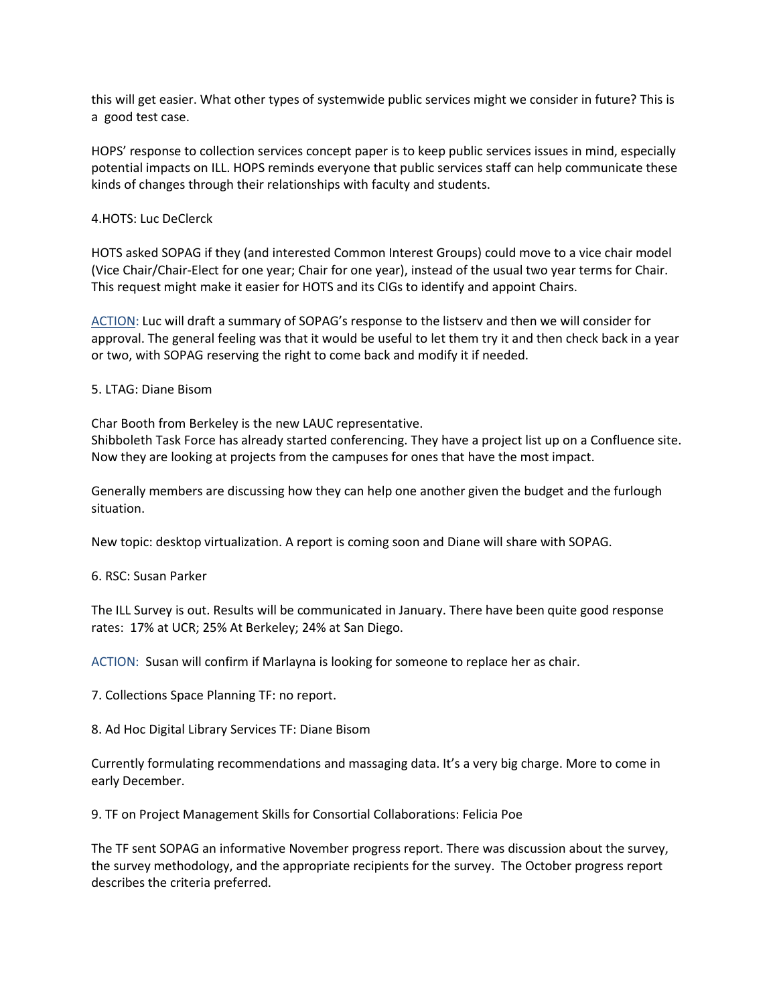this will get easier. What other types of systemwide public services might we consider in future? This is a good test case.

HOPS' response to collection services concept paper is to keep public services issues in mind, especially potential impacts on ILL. HOPS reminds everyone that public services staff can help communicate these kinds of changes through their relationships with faculty and students.

### 4.HOTS: Luc DeClerck

HOTS asked SOPAG if they (and interested Common Interest Groups) could move to a vice chair model (Vice Chair/Chair-Elect for one year; Chair for one year), instead of the usual two year terms for Chair. This request might make it easier for HOTS and its CIGs to identify and appoint Chairs.

ACTION: Luc will draft a summary of SOPAG's response to the listserv and then we will consider for approval. The general feeling was that it would be useful to let them try it and then check back in a year or two, with SOPAG reserving the right to come back and modify it if needed.

#### 5. LTAG: Diane Bisom

Char Booth from Berkeley is the new LAUC representative.

Shibboleth Task Force has already started conferencing. They have a project list up on a Confluence site. Now they are looking at projects from the campuses for ones that have the most impact.

Generally members are discussing how they can help one another given the budget and the furlough situation.

New topic: desktop virtualization. A report is coming soon and Diane will share with SOPAG.

#### 6. RSC: Susan Parker

The ILL Survey is out. Results will be communicated in January. There have been quite good response rates: 17% at UCR; 25% At Berkeley; 24% at San Diego.

ACTION: Susan will confirm if Marlayna is looking for someone to replace her as chair.

7. Collections Space Planning TF: no report.

8. Ad Hoc Digital Library Services TF: Diane Bisom

Currently formulating recommendations and massaging data. It's a very big charge. More to come in early December.

9. TF on Project Management Skills for Consortial Collaborations: Felicia Poe

The TF sent SOPAG an informative November progress report. There was discussion about the survey, the survey methodology, and the appropriate recipients for the survey. The October progress report describes the criteria preferred.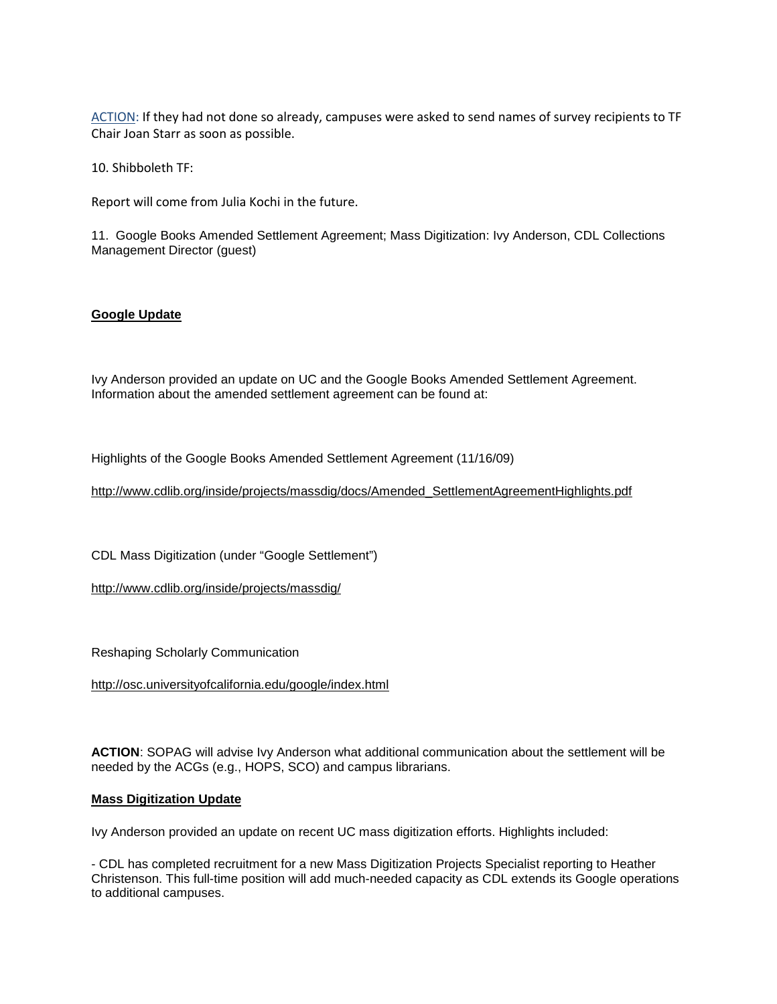ACTION: If they had not done so already, campuses were asked to send names of survey recipients to TF Chair Joan Starr as soon as possible.

10. Shibboleth TF:

Report will come from Julia Kochi in the future.

11. Google Books Amended Settlement Agreement; Mass Digitization: Ivy Anderson, CDL Collections Management Director (guest)

#### **Google Update**

Ivy Anderson provided an update on UC and the Google Books Amended Settlement Agreement. Information about the amended settlement agreement can be found at:

Highlights of the Google Books Amended Settlement Agreement (11/16/09)

[http://www.cdlib.org/inside/projects/massdig/docs/Amended\\_SettlementAgreementHighlights.pdf](http://www.cdlib.org/inside/projects/massdig/docs/Amended_SettlementAgreementHighlights.pdf)

CDL Mass Digitization (under "Google Settlement")

<http://www.cdlib.org/inside/projects/massdig/>

Reshaping Scholarly Communication

<http://osc.universityofcalifornia.edu/google/index.html>

**ACTION**: SOPAG will advise Ivy Anderson what additional communication about the settlement will be needed by the ACGs (e.g., HOPS, SCO) and campus librarians.

#### **Mass Digitization Update**

Ivy Anderson provided an update on recent UC mass digitization efforts. Highlights included:

- CDL has completed recruitment for a new Mass Digitization Projects Specialist reporting to Heather Christenson. This full-time position will add much-needed capacity as CDL extends its Google operations to additional campuses.